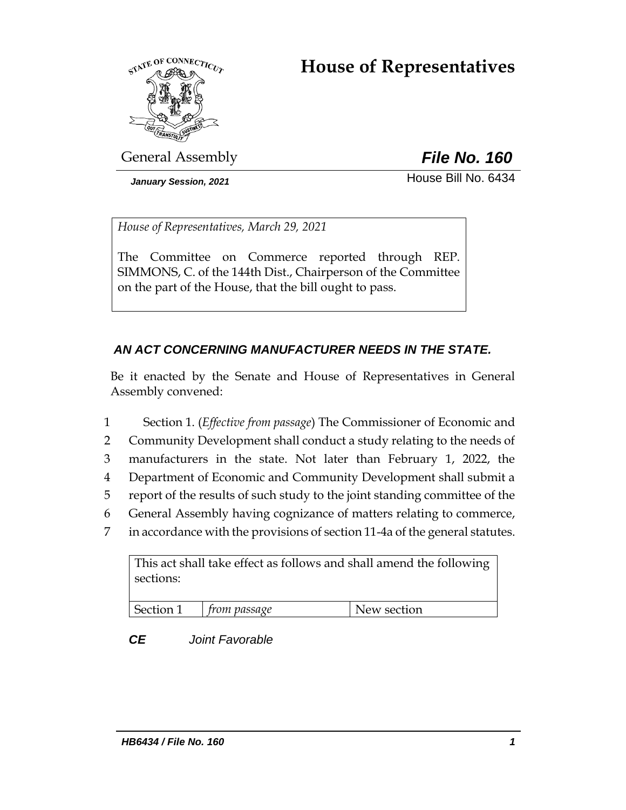# **House of Representatives**



General Assembly *File No. 160*

*January Session, 2021* **House Bill No. 6434** 

*House of Representatives, March 29, 2021*

The Committee on Commerce reported through REP. SIMMONS, C. of the 144th Dist., Chairperson of the Committee on the part of the House, that the bill ought to pass.

### *AN ACT CONCERNING MANUFACTURER NEEDS IN THE STATE.*

Be it enacted by the Senate and House of Representatives in General Assembly convened:

 Section 1. (*Effective from passage*) The Commissioner of Economic and Community Development shall conduct a study relating to the needs of manufacturers in the state. Not later than February 1, 2022, the Department of Economic and Community Development shall submit a report of the results of such study to the joint standing committee of the General Assembly having cognizance of matters relating to commerce, in accordance with the provisions of section 11-4a of the general statutes.

This act shall take effect as follows and shall amend the following sections: Section 1 *from passage* New section

*CE Joint Favorable*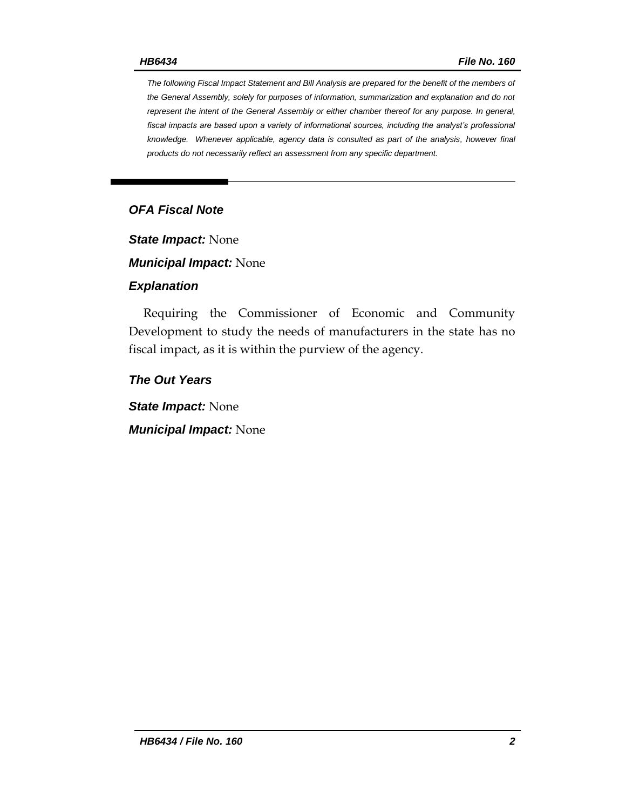*The following Fiscal Impact Statement and Bill Analysis are prepared for the benefit of the members of the General Assembly, solely for purposes of information, summarization and explanation and do not represent the intent of the General Assembly or either chamber thereof for any purpose. In general, fiscal impacts are based upon a variety of informational sources, including the analyst's professional knowledge. Whenever applicable, agency data is consulted as part of the analysis, however final products do not necessarily reflect an assessment from any specific department.*

### *OFA Fiscal Note*

*State Impact:* None

*Municipal Impact:* None

#### *Explanation*

Requiring the Commissioner of Economic and Community Development to study the needs of manufacturers in the state has no fiscal impact, as it is within the purview of the agency.

*The Out Years*

*State Impact:* None

*Municipal Impact:* None